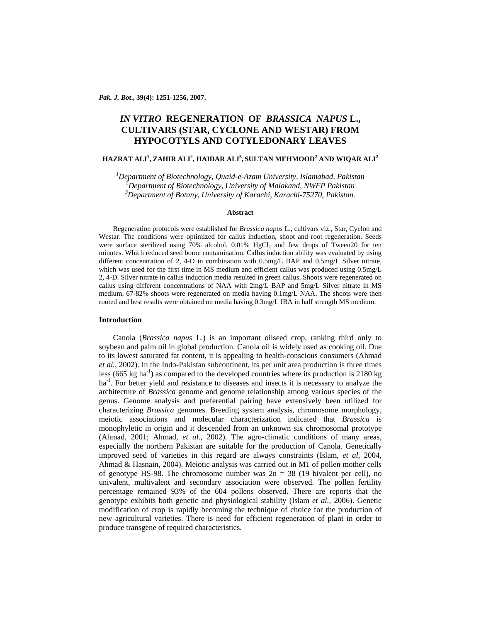# *IN VITRO* **REGENERATION OF** *BRASSICA NAPUS* **L., CULTIVARS (STAR, CYCLONE AND WESTAR) FROM HYPOCOTYLS AND COTYLEDONARY LEAVES**

## **HAZRAT ALI1 , ZAHIR ALI2 , HAIDAR ALI3 , SULTAN MEHMOOD2 AND WIQAR ALI<sup>2</sup>**

<sup>1</sup><br> *Department of Biotechnology, Quaid-e-Azam University, Islamabad, Pakistan<sup>2</sup><br>
<sup>2</sup> Department of Biotechnology, University of Malakand, NWEB Bakistan Department of Biotechnology, University of Malakand, NWFP Pakistan 3 Department of Botany, University of Karachi, Karachi-75270, Pakistan.* 

## **Abstract**

Regeneration protocols were established for *Brassica napus* L., cultivars viz., Star, Cyclon and Westar. The conditions were optimized for callus induction, shoot and root regeneration. Seeds were surface sterilized using  $70\%$  alcohol,  $0.01\%$  HgCl<sub>2</sub> and few drops of Tween20 for ten minutes. Which reduced seed borne contamination. Callus induction ability was evaluated by using different concentration of 2, 4-D in combination with 0.5mg/L BAP and 0.5mg/L Silver nitrate, which was used for the first time in MS medium and efficient callus was produced using 0.5mg/L 2, 4-D. Silver nitrate in callus induction media resulted in green callus. Shoots were regenerated on callus using different concentrations of NAA with 2mg/L BAP and 5mg/L Silver nitrate in MS medium. 67-82% shoots were regenerated on media having 0.1mg/L NAA. The shoots were then rooted and best results were obtained on media having 0.3mg/L IBA in half strength MS medium.

## **Introduction**

Canola (*Brassica napus* L.) is an important oilseed crop, ranking third only to soybean and palm oil in global production. Canola oil is widely used as cooking oil. Due to its lowest saturated fat content, it is appealing to health-conscious consumers (Ahmad *et al.,* 2002). In the Indo-Pakistan subcontinent, its per unit area production is three times less (665 kg ha<sup>-1</sup>) as compared to the developed countries where its production is 2180 kg  $ha<sup>-1</sup>$ . For better yield and resistance to diseases and insects it is necessary to analyze the architecture of *Brassica* genome and genome relationship among various species of the genus. Genome analysis and preferential pairing have extensively been utilized for characterizing *Brassica* genomes. Breeding system analysis, chromosome morphology, meiotic associations and molecular characterization indicated that *Brassica* is monophyletic in origin and it descended from an unknown six chromosomal prototype (Ahmad, 2001; Ahmad, *et al*., 2002). The agro-climatic conditions of many areas, especially the northern Pakistan are suitable for the production of Canola. Genetically improved seed of varieties in this regard are always constraints (Islam, *et al*, 2004, Ahmad & Hasnain, 2004). Meiotic analysis was carried out in M1 of pollen mother cells of genotype HS-98. The chromosome number was  $2n = 38$  (19 bivalent per cell), no univalent, multivalent and secondary association were observed. The pollen fertility percentage remained 93% of the 604 pollens observed. There are reports that the genotype exhibits both genetic and physiological stability (Islam *et al.*, 2006). Genetic modification of crop is rapidly becoming the technique of choice for the production of new agricultural varieties. There is need for efficient regeneration of plant in order to produce transgene of required characteristics.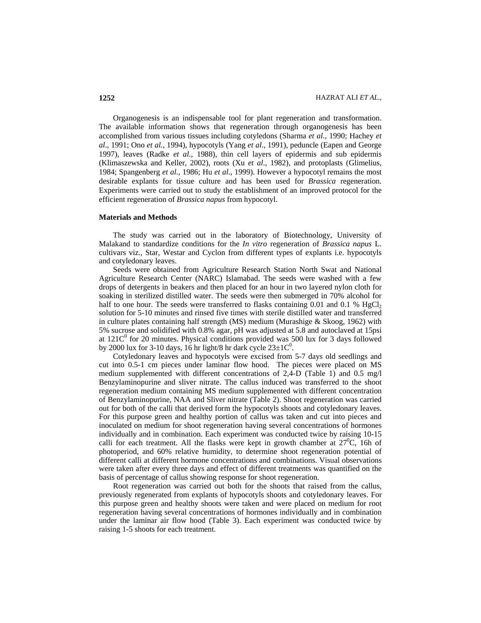Organogenesis is an indispensable tool for plant regeneration and transformation. The available information shows that regeneration through organogenesis has been accomplished from various tissues including cotyledons (Sharma *et al.,* 1990; Hachey *et al*., 1991; Ono *et al.,* 1994), hypocotyls (Yang *et al*., 1991), peduncle (Eapen and George 1997), leaves (Radke *et al.,* 1988), thin cell layers of epidermis and sub epidermis (Klimaszewska and Keller, 2002), roots (Xu *et al*., 1982), and protoplasts (Glimelius, 1984; Spangenberg *et al.,* 1986; Hu *et al*., 1999). However a hypocotyl remains the most desirable explants for tissue culture and has been used for *Brassica* regeneration. Experiments were carried out to study the establishment of an improved protocol for the efficient regeneration of *Brassica napus* from hypocotyl.

### **Materials and Methods**

The study was carried out in the laboratory of Biotechnology, University of Malakand to standardize conditions for the *In vitro* regeneration of *Brassica napus* L. cultivars viz., Star, Westar and Cyclon from different types of explants i.e. hypocotyls and cotyledonary leaves.

Seeds were obtained from Agriculture Research Station North Swat and National Agriculture Research Center (NARC) Islamabad. The seeds were washed with a few drops of detergents in beakers and then placed for an hour in two layered nylon cloth for soaking in sterilized distilled water. The seeds were then submerged in 70% alcohol for half to one hour. The seeds were transferred to flasks containing 0.01 and 0.1 %  $HgCl<sub>2</sub>$ solution for 5-10 minutes and rinsed five times with sterile distilled water and transferred in culture plates containing half strength (MS) medium (Murashige & Skoog, 1962) with 5% sucrose and solidified with 0.8% agar, pH was adjusted at 5.8 and autoclaved at 15psi at  $121C<sup>0</sup>$  for 20 minutes. Physical conditions provided was 500 lux for 3 days followed by 2000 lux for 3-10 days, 16 hr light/8 hr dark cycle  $23\pm10^{-0}$ .

Cotyledonary leaves and hypocotyls were excised from 5-7 days old seedlings and cut into 0.5-1 cm pieces under laminar flow hood. The pieces were placed on MS medium supplemented with different concentrations of 2.4-D (Table 1) and 0.5 mg/l Benzylaminopurine and sliver nitrate. The callus induced was transferred to the shoot regeneration medium containing MS medium supplemented with different concentration of Benzylaminopurine, NAA and Sliver nitrate (Table 2). Shoot regeneration was carried out for both of the calli that derived form the hypocotyls shoots and cotyledonary leaves. For this purpose green and healthy portion of callus was taken and cut into pieces and inoculated on medium for shoot regeneration having several concentrations of hormones individually and in combination. Each experiment was conducted twice by raising 10-15 calli for each treatment. All the flasks were kept in growth chamber at  $27^{\circ}$ C, 16h of photoperiod, and 60% relative humidity, to determine shoot regeneration potential of different calli at different hormone concentrations and combinations. Visual observations were taken after every three days and effect of different treatments was quantified on the basis of percentage of callus showing response for shoot regeneration.

Root regeneration was carried out both for the shoots that raised from the callus, previously regenerated from explants of hypocotyls shoots and cotyledonary leaves. For this purpose green and healthy shoots were taken and were placed on medium for root regeneration having several concentrations of hormones individually and in combination under the laminar air flow hood (Table 3). Each experiment was conducted twice by raising 1-5 shoots for each treatment.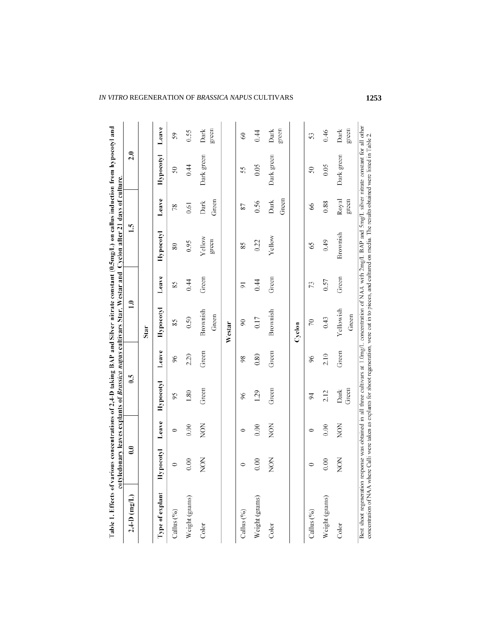| Leave<br>Green<br>Green<br>2.20<br>0.80<br>$\delta$<br>96<br>98<br>C.G<br>Hypocotyl<br>Green<br>Green<br>1.80<br>1.29<br>96<br>56<br>$\overline{5}$<br>Leave<br><b>NON</b><br>NON<br>0.00<br>0.00<br>0<br>0<br>0<br>$\ddot{\textbf{e}}$<br>pocotyl<br><b>NON</b><br>NON<br>0.00<br>0.00<br>$\circ$<br>$\circ$<br>$\circ$<br>È<br>Type of explant<br>$2,4-D$ (mg/L)<br>Weight (grams)<br>Weight (grams)<br>Weight (grams)<br>Callus (%)<br>Callus (%)<br>Callus (%)<br>Color<br>Color |      |      |      |      |                    |                |                 |                   |                  |               |
|--------------------------------------------------------------------------------------------------------------------------------------------------------------------------------------------------------------------------------------------------------------------------------------------------------------------------------------------------------------------------------------------------------------------------------------------------------------------------------------|------|------|------|------|--------------------|----------------|-----------------|-------------------|------------------|---------------|
|                                                                                                                                                                                                                                                                                                                                                                                                                                                                                      |      |      |      |      | $\ddot{=}$         |                | 1.5             |                   | 2.0              |               |
|                                                                                                                                                                                                                                                                                                                                                                                                                                                                                      |      |      |      |      | Star               |                |                 |                   |                  |               |
|                                                                                                                                                                                                                                                                                                                                                                                                                                                                                      |      |      |      |      | <b>Hypocotyl</b>   | Leave          | Hypocotyl       | Leave             | <b>Hypocotyl</b> | Leave         |
|                                                                                                                                                                                                                                                                                                                                                                                                                                                                                      |      |      |      |      | 85                 | 85             | $80\,$          | 78                | $\Im$            | 59            |
|                                                                                                                                                                                                                                                                                                                                                                                                                                                                                      |      |      |      |      | 0.50               | 0.44           | 0.95            | $\overline{0.61}$ | 0.44             | 0.55          |
|                                                                                                                                                                                                                                                                                                                                                                                                                                                                                      |      |      |      |      | Brownish<br>Green  | Green          | Yellow<br>green | Green<br>Dark     | Dark green       | green<br>Dark |
|                                                                                                                                                                                                                                                                                                                                                                                                                                                                                      |      |      |      |      | Westar             |                |                 |                   |                  |               |
|                                                                                                                                                                                                                                                                                                                                                                                                                                                                                      |      |      |      |      | $\otimes$          | $\overline{5}$ | 85              | 78                | 55               | $\Im$         |
|                                                                                                                                                                                                                                                                                                                                                                                                                                                                                      |      |      |      |      | 0.17               | 0.44           | 0.22            | 0.56              | 0.05             | 0.44          |
|                                                                                                                                                                                                                                                                                                                                                                                                                                                                                      |      |      |      |      | Brownish           | Green          | Yellow          | Green<br>Dark     | Dark green       | green<br>Dark |
|                                                                                                                                                                                                                                                                                                                                                                                                                                                                                      |      |      |      |      | Cyclon             |                |                 |                   |                  |               |
|                                                                                                                                                                                                                                                                                                                                                                                                                                                                                      |      |      |      |      | S                  | 73             | 59              | 8                 | $\Im$            | 53            |
|                                                                                                                                                                                                                                                                                                                                                                                                                                                                                      | 0.00 | 0.00 | 2.12 | 2.10 | 0.43               | 0.57           | 0.49            | 0.88              | 0.05             | 0.46          |
| Green<br>Green<br>Dark<br>NON<br><b>NON</b><br>Color                                                                                                                                                                                                                                                                                                                                                                                                                                 |      |      |      |      | Yellowish<br>Green | Green          | Brownish        | Royal<br>green    | Dark green       | green<br>Dark |

# *IN VITRO* REGENERATION OF *BRASSICA NAPUS* CULTIVARS **1253**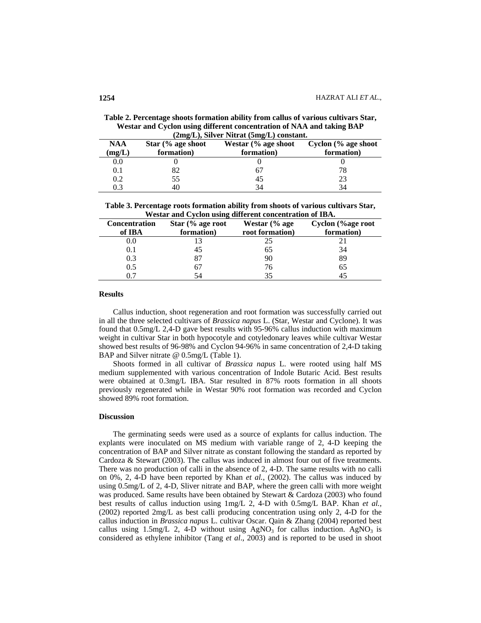| Table 2. Percentage shoots formation ability from callus of various cultivars Star, |
|-------------------------------------------------------------------------------------|
| Westar and Cyclon using different concentration of NAA and taking BAP               |
| $(2mg/L)$ , Silver Nitrat $(5mg/L)$ constant.                                       |

|               | $(2\text{mg/L})$ , onver i vitrat $(\text{gmg/L})$ constant. |                                   |                                   |  |  |  |
|---------------|--------------------------------------------------------------|-----------------------------------|-----------------------------------|--|--|--|
| NAA<br>(mg/L) | Star $\frac{6}{6}$ age shoot<br>formation)                   | Westar (% age shoot<br>formation) | Cyclon (% age shoot<br>formation) |  |  |  |
| 0.0           |                                                              |                                   |                                   |  |  |  |
| 0.1           |                                                              | h,                                | 78                                |  |  |  |
| 0.2           | 55                                                           | 43                                | 23                                |  |  |  |
| 0.3           | 40                                                           | 34                                | 34                                |  |  |  |

| Table 3. Percentage roots formation ability from shoots of various cultivars Star, |
|------------------------------------------------------------------------------------|
| Westar and Cyclon using different concentration of IBA.                            |

|                      | "Volume and Cyclon ability anter che concentration of 1911. |                 |                   |  |  |
|----------------------|-------------------------------------------------------------|-----------------|-------------------|--|--|
| <b>Concentration</b> | Star (% age root                                            | Westar (% age   | Cyclon (%age root |  |  |
| of IBA               | formation)                                                  | root formation) | formation)        |  |  |
| 0.0                  |                                                             | 25              |                   |  |  |
| 0.1                  | 45                                                          | 65              | 34                |  |  |
| 0.3                  | 87                                                          | 90              | 89                |  |  |
| 0.5                  | 67                                                          | 76              | 65                |  |  |
|                      | 54                                                          | 35              | 45                |  |  |

### **Results**

Callus induction, shoot regeneration and root formation was successfully carried out in all the three selected cultivars of *Brassica napus* L. (Star, Westar and Cyclone). It was found that 0.5mg/L 2,4-D gave best results with 95-96% callus induction with maximum weight in cultivar Star in both hypocotyle and cotyledonary leaves while cultivar Westar showed best results of 96-98% and Cyclon 94-96% in same concentration of 2,4-D taking BAP and Silver nitrate @ 0.5mg/L (Table 1).

Shoots formed in all cultivar of *Brassica napus* L. were rooted using half MS medium supplemented with various concentration of Indole Butaric Acid. Best results were obtained at 0.3mg/L IBA. Star resulted in 87% roots formation in all shoots previously regenerated while in Westar 90% root formation was recorded and Cyclon showed 89% root formation.

## **Discussion**

The germinating seeds were used as a source of explants for callus induction. The explants were inoculated on MS medium with variable range of 2, 4-D keeping the concentration of BAP and Silver nitrate as constant following the standard as reported by Cardoza & Stewart (2003). The callus was induced in almost four out of five treatments. There was no production of calli in the absence of 2, 4-D. The same results with no calli on 0%, 2, 4-D have been reported by Khan *et al.,* (2002). The callus was induced by using 0.5mg/L of 2, 4-D, Sliver nitrate and BAP, where the green calli with more weight was produced. Same results have been obtained by Stewart & Cardoza (2003) who found best results of callus induction using 1mg/L 2, 4-D with 0.5mg/L BAP. Khan *et al.,* (2002) reported 2mg/L as best calli producing concentration using only 2, 4-D for the callus induction in *Brassica napus* L. cultivar Oscar. Qain & Zhang (2004) reported best callus using 1.5mg/L 2, 4-D without using  $AgNO_3$  for callus induction.  $AgNO_3$  is considered as ethylene inhibitor (Tang *et al*., 2003) and is reported to be used in shoot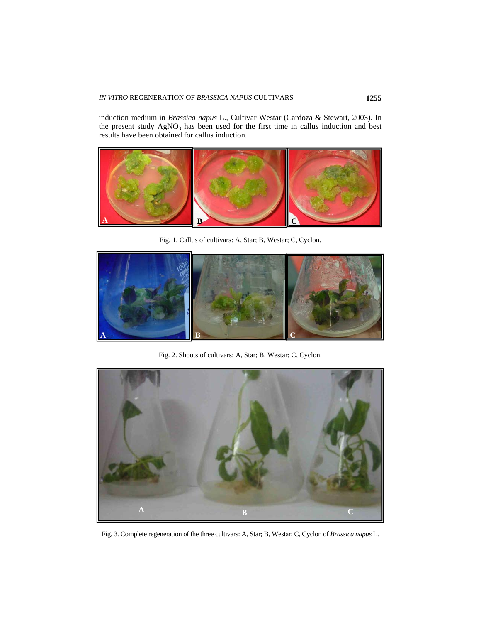induction medium in *Brassica napus* L., Cultivar Westar (Cardoza & Stewart, 2003). In the present study  $AgNO<sub>3</sub>$  has been used for the first time in callus induction and best results have been obtained for callus induction.



Fig. 1. Callus of cultivars: A, Star; B, Westar; C, Cyclon.



Fig. 2. Shoots of cultivars: A, Star; B, Westar; C, Cyclon.



Fig. 3. Complete regeneration of the three cultivars: A, Star; B, Westar; C, Cyclon of *Brassica napus* L.